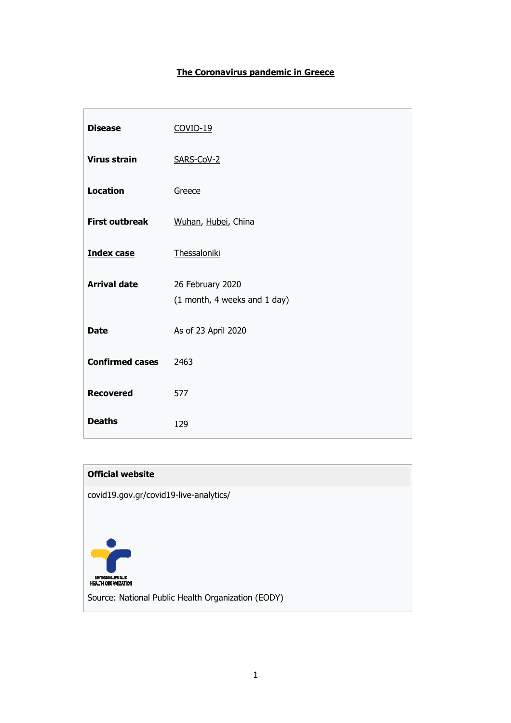# **The Coronavirus pandemic in Greece**

| <b>Disease</b>         | $COVID-19$                                       |
|------------------------|--------------------------------------------------|
| <b>Virus strain</b>    | SARS-CoV-2                                       |
| <b>Location</b>        | Greece                                           |
| <b>First outbreak</b>  | Wuhan, Hubei, China                              |
| <b>Index case</b>      | Thessaloniki                                     |
| <b>Arrival date</b>    | 26 February 2020<br>(1 month, 4 weeks and 1 day) |
| <b>Date</b>            | As of 23 April 2020                              |
| <b>Confirmed cases</b> | 2463                                             |
| <b>Recovered</b>       | 577                                              |
| <b>Deaths</b>          | 129                                              |

# **Official website**  covid19.gov.gr/covid19-live live-analytics/ NATIONAL PUBLIC<br>HEALTH ORGANIZATION Source: National Public Health Organization (EODY)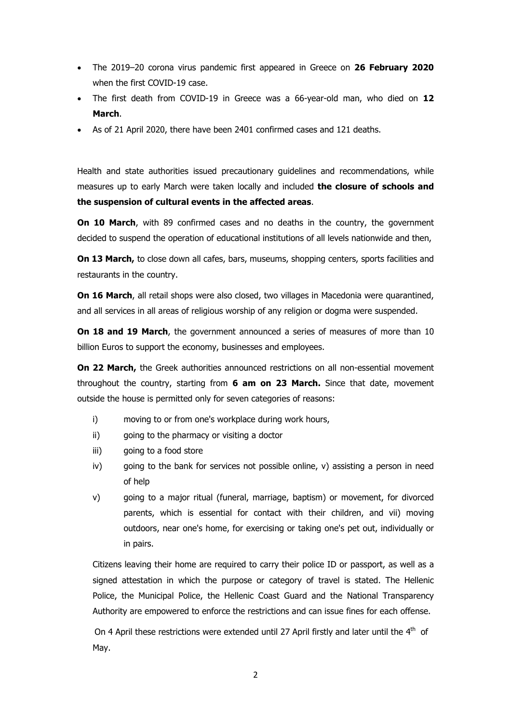- The 2019–20 corona virus pandemic first appeared in Greece on **26 February 2020** when the first COVID-19 case.
- The first death from COVID-19 in Greece was a 66-year-old man, who died on **12 March**.
- As of 21 April 2020, there have been 2401 confirmed cases and 121 deaths.

Health and state authorities issued precautionary guidelines and recommendations, while measures up to early March were taken locally and included **the closure of schools and the suspension of cultural events in the affected areas**.

**On 10 March**, with 89 confirmed cases and no deaths in the country, the government decided to suspend the operation of educational institutions of all levels nationwide and then,

**On 13 March,** to close down all cafes, bars, museums, shopping centers, sports facilities and restaurants in the country.

**On 16 March**, all retail shops were also closed, two villages in Macedonia were quarantined, and all services in all areas of religious worship of any religion or dogma were suspended.

**On 18 and 19 March**, the government announced a series of measures of more than 10 billion Euros to support the economy, businesses and employees.

**On 22 March,** the Greek authorities announced restrictions on all non-essential movement throughout the country, starting from **6 am on 23 March.** Since that date, movement outside the house is permitted only for seven categories of reasons:

- i) moving to or from one's workplace during work hours,
- ii) going to the pharmacy or visiting a doctor
- iii) going to a food store
- $iv)$  going to the bank for services not possible online,  $v)$  assisting a person in need of help
- v) going to a major ritual (funeral, marriage, baptism) or movement, for divorced parents, which is essential for contact with their children, and vii) moving outdoors, near one's home, for exercising or taking one's pet out, individually or in pairs.

Citizens leaving their home are required to carry their police ID or passport, as well as a signed attestation in which the purpose or category of travel is stated. The Hellenic Police, the Municipal Police, the Hellenic Coast Guard and the National Transparency Authority are empowered to enforce the restrictions and can issue fines for each offense.

On 4 April these restrictions were extended until 27 April firstly and later until the 4<sup>th</sup> of May.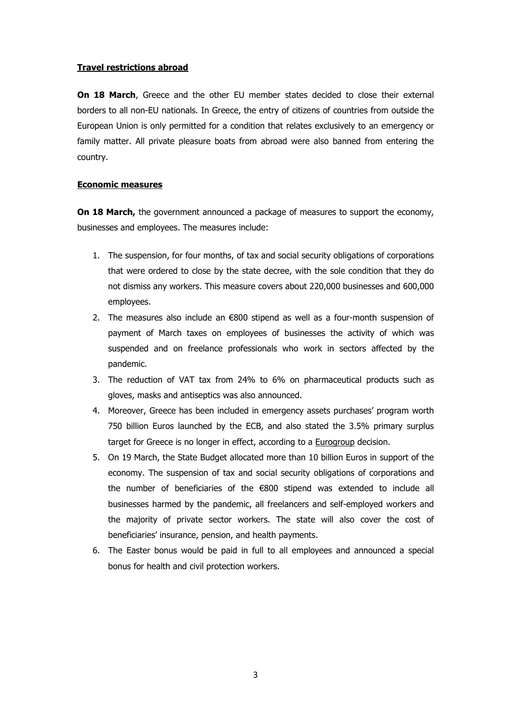### **Travel restrictions abroad**

**On 18 March**, Greece and the other EU member states decided to close their external borders to all non-EU nationals. In Greece, the entry of citizens of countries from outside the European Union is only permitted for a condition that relates exclusively to an emergency or family matter. All private pleasure boats from abroad were also banned from entering the country.

#### **Economic measures**

**On 18 March,** the government announced a package of measures to support the economy, businesses and employees. The measures include:

- 1. The suspension, for four months, of tax and social security obligations of corporations that were ordered to close by the state decree, with the sole condition that they do not dismiss any workers. This measure covers about 220,000 businesses and 600,000 employees.
- 2. The measures also include an  $\epsilon$ 800 stipend as well as a four-month suspension of payment of March taxes on employees of businesses the activity of which was suspended and on freelance professionals who work in sectors affected by the pandemic.
- 3. The reduction of VAT tax from 24% to 6% on pharmaceutical products such as gloves, masks and antiseptics was also announced.
- 4. Moreover, Greece has been included in emergency assets purchases' program worth 750 billion Euros launched by the ECB, and also stated the 3.5% primary surplus target for Greece is no longer in effect, according to a **Eurogroup** decision.
- 5. On 19 March, the State Budget allocated more than 10 billion Euros in support of the economy. The suspension of tax and social security obligations of corporations and the number of beneficiaries of the €800 stipend was extended to include all businesses harmed by the pandemic, all freelancers and self-employed workers and the majority of private sector workers. The state will also cover the cost of beneficiaries' insurance, pension, and health payments.
- 6. The Easter bonus would be paid in full to all employees and announced a special bonus for health and civil protection workers.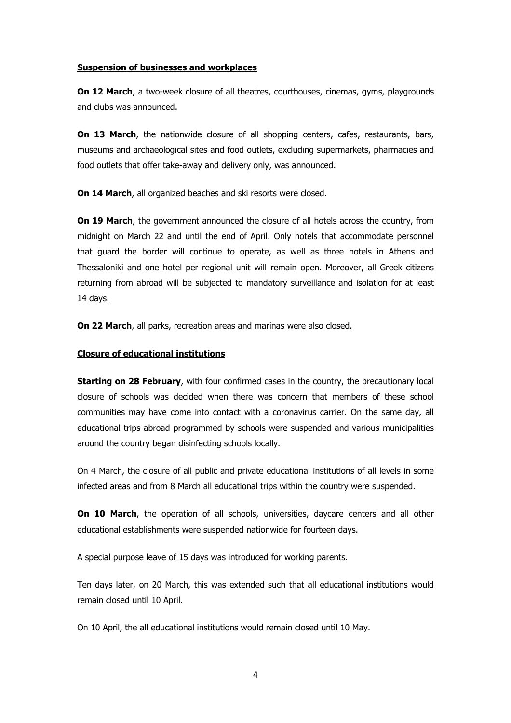#### **Suspension of businesses and workplaces**

**On 12 March**, a two-week closure of all theatres, courthouses, cinemas, gyms, playgrounds and clubs was announced.

**On 13 March**, the nationwide closure of all shopping centers, cafes, restaurants, bars, museums and archaeological sites and food outlets, excluding supermarkets, pharmacies and food outlets that offer take-away and delivery only, was announced.

**On 14 March**, all organized beaches and ski resorts were closed.

**On 19 March**, the government announced the closure of all hotels across the country, from midnight on March 22 and until the end of April. Only hotels that accommodate personnel that guard the border will continue to operate, as well as three hotels in Athens and Thessaloniki and one hotel per regional unit will remain open. Moreover, all Greek citizens returning from abroad will be subjected to mandatory surveillance and isolation for at least 14 days.

**On 22 March**, all parks, recreation areas and marinas were also closed.

#### **Closure of educational institutions**

**Starting on 28 February**, with four confirmed cases in the country, the precautionary local closure of schools was decided when there was concern that members of these school communities may have come into contact with a coronavirus carrier. On the same day, all educational trips abroad programmed by schools were suspended and various municipalities around the country began disinfecting schools locally.

On 4 March, the closure of all public and private educational institutions of all levels in some infected areas and from 8 March all educational trips within the country were suspended.

**On 10 March**, the operation of all schools, universities, daycare centers and all other educational establishments were suspended nationwide for fourteen days.

A special purpose leave of 15 days was introduced for working parents.

Ten days later, on 20 March, this was extended such that all educational institutions would remain closed until 10 April.

On 10 April, the all educational institutions would remain closed until 10 May.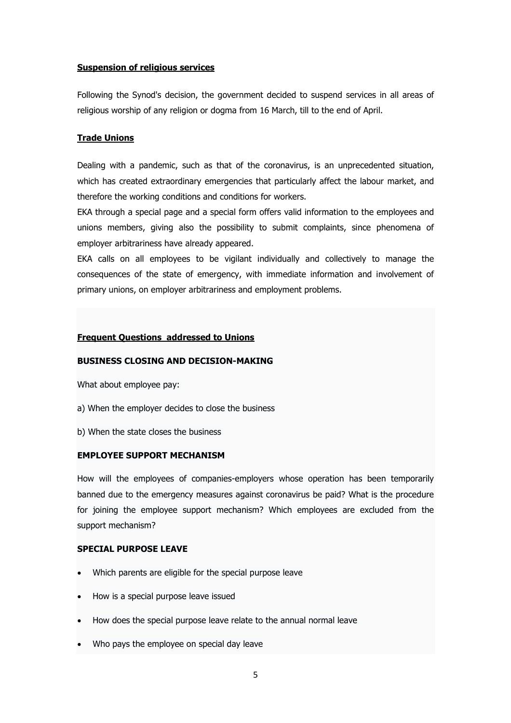### **Suspension of religious services**

Following the Synod's decision, the government decided to suspend services in all areas of religious worship of any religion or dogma from 16 March, till to the end of April.

## **Trade Unions**

Dealing with a pandemic, such as that of the coronavirus, is an unprecedented situation, which has created extraordinary emergencies that particularly affect the labour market, and therefore the working conditions and conditions for workers.

EKA through a special page and a special form offers valid information to the employees and unions members, giving also the possibility to submit complaints, since phenomena of employer arbitrariness have already appeared.

EKA calls on all employees to be vigilant individually and collectively to manage the consequences of the state of emergency, with immediate information and involvement of primary unions, on employer arbitrariness and employment problems.

### **Frequent Questions addressed to Unions**

### **BUSINESS CLOSING AND DECISION-MAKING**

What about employee pay:

- a) When the employer decides to close the business
- b) When the state closes the business

#### **EMPLOYEE SUPPORT MECHANISM**

How will the employees of companies-employers whose operation has been temporarily banned due to the emergency measures against coronavirus be paid? What is the procedure for joining the employee support mechanism? Which employees are excluded from the support mechanism?

#### **SPECIAL PURPOSE LEAVE**

- Which parents are eligible for the special purpose leave
- How is a special purpose leave issued
- How does the special purpose leave relate to the annual normal leave
- Who pays the employee on special day leave